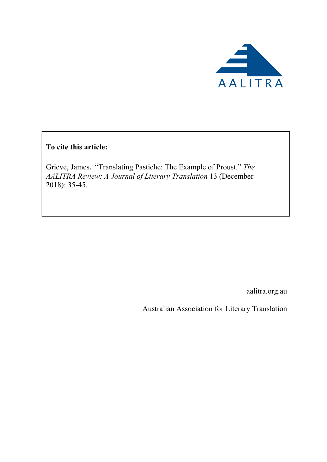

**To cite this article:**

Grieve, James. "Translating Pastiche: The Example of Proust." *The AALITRA Review: A Journal of Literary Translation* 13 (December 2018): 35-45.

aalitra.org.au

Australian Association for Literary Translation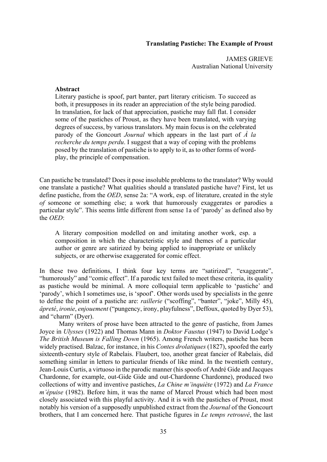## **Translating Pastiche: The Example of Proust**

JAMES GRIEVE Australian National University

## **Abstract**

Literary pastiche is spoof, part banter, part literary criticism. To succeed as both, it presupposes in its reader an appreciation of the style being parodied. In translation, for lack of that appreciation, pastiche may fall flat. I consider some of the pastiches of Proust, as they have been translated, with varying degrees of success, by various translators. My main focus is on the celebrated parody of the Goncourt *Journal* which appears in the last part of *À la recherche du temps perdu*. I suggest that a way of coping with the problems posed by the translation of pastiche is to apply to it, as to other forms of wordplay, the principle of compensation.

Can pastiche be translated? Does it pose insoluble problems to the translator? Why would one translate a pastiche? What qualities should a translated pastiche have? First, let us define pastiche, from the *OED*, sense 2a: "A work, esp. of literature, created in the style *of* someone or something else; a work that humorously exaggerates or parodies a particular style". This seems little different from sense 1a of 'parody' as defined also by the *OED*:

A literary composition modelled on and imitating another work, esp. a composition in which the characteristic style and themes of a particular author or genre are satirized by being applied to inappropriate or unlikely subjects, or are otherwise exaggerated for comic effect.

In these two definitions, I think four key terms are "satirized", "exaggerate", "humorously" and "comic effect". If a parodic text failed to meet these criteria, its quality as pastiche would be minimal. A more colloquial term applicable to 'pastiche' and 'parody', which I sometimes use, is 'spoof'. Other words used by specialists in the genre to define the point of a pastiche are: *raillerie* ("scoffing", "banter", "joke", Milly 45), *âpreté*, *ironie*, *enjouement* ("pungency, irony, playfulness", Deffoux, quoted by Dyer 53), and "charm" (Dyer).

Many writers of prose have been attracted to the genre of pastiche, from James Joyce in *Ulysses* (1922) and Thomas Mann in *Doktor Faustus* (1947) to David Lodge's *The British Museum is Falling Down* (1965). Among French writers, pastiche has been widely practised. Balzac, for instance, in his *Contes drolatiques* (1827), spoofed the early sixteenth-century style of Rabelais. Flaubert, too, another great fancier of Rabelais, did something similar in letters to particular friends of like mind. In the twentieth century, Jean-Louis Curtis, a virtuoso in the parodic manner (his spoofs of André Gide and Jacques Chardonne, for example, out-Gide Gide and out-Chardonne Chardonne), produced two collections of witty and inventive pastiches, *La Chine m'inquiète* (1972) and *La France m'épuise* (1982). Before him, it was the name of Marcel Proust which had been most closely associated with this playful activity. And it is with the pastiches of Proust, most notably his version of a supposedly unpublished extract from the *Journal* of the Goncourt brothers, that I am concerned here. That pastiche figures in *Le temps retrouvé*, the last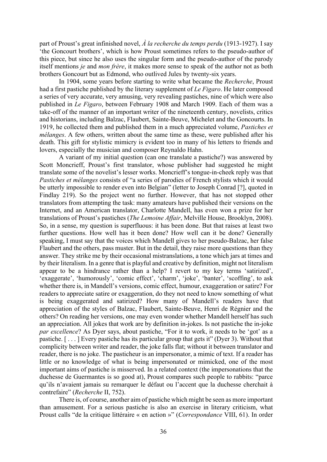part of Proust's great infinished novel, *À la recherche du temps perdu* (1913-1927). I say 'the Goncourt brothers', which is how Proust sometimes refers to the pseudo-author of this piece, but since he also uses the singular form and the pseudo-author of the parody itself mentions *je* and *mon frère*, it makes more sense to speak of the author not as both brothers Goncourt but as Edmond, who outlived Jules by twenty-six years.

In 1904, some years before starting to write what became the *Recherche*, Proust had a first pastiche published by the literary supplement of *Le Figaro*. He later composed a series of very accurate, very amusing, very revealing pastiches, nine of which were also published in *Le Figaro*, between February 1908 and March 1909. Each of them was a take-off of the manner of an important writer of the nineteenth century, novelists, critics and historians, including Balzac, Flaubert, Sainte-Beuve, Michelet and the Goncourts. In 1919, he collected them and published them in a much appreciated volume, *Pastiches et mélanges*. A few others, written about the same time as these, were published after his death. This gift for stylistic mimicry is evident too in many of his letters to friends and lovers, especially the musician and composer Reynaldo Hahn.

A variant of my initial question (can one translate a pastiche?) was answered by Scott Moncrieff, Proust's first translator, whose publisher had suggested he might translate some of the novelist's lesser works. Moncrieff's tongue-in-cheek reply was that *Pastiches et mélanges* consists of "a series of parodies of French stylists which it would be utterly impossible to render even into Belgian" (letter to Joseph Conrad [?], quoted in Findlay 219). So the project went no further. However, that has not stopped other translators from attempting the task: many amateurs have published their versions on the Internet, and an American translator, Charlotte Mandell, has even won a prize for her translations of Proust's pastiches (*The Lemoine Affair*, Melville House, Brooklyn, 2008). So, in a sense, my question is superfluous: it has been done. But that raises at least two further questions. How well has it been done? How well can it be done? Generally speaking, I must say that the voices which Mandell gives to her pseudo-Balzac, her false Flaubert and the others, pass muster. But in the detail, they raise more questions than they answer. They strike me by their occasional mistranslations, a tone which jars at times and by their literalism. In a genre that is playful and creative by definition, might not literalism appear to be a hindrance rather than a help? I revert to my key terms 'satirized', 'exaggerate', 'humorously', 'comic effect', 'charm', 'joke', 'banter', 'scoffing', to ask whether there is, in Mandell's versions, comic effect, humour, exaggeration or satire? For readers to appreciate satire or exaggeration, do they not need to know something of what is being exaggerated and satirized? How many of Mandell's readers have that appreciation of the styles of Balzac, Flaubert, Sainte-Beuve, Henri de Régnier and the others? On reading her versions, one may even wonder whether Mandell herself has such an appreciation. All jokes that work are by definition in-jokes. Is not pastiche the in-joke *par excellence*? As Dyer says, about pastiche, "For it to work, it needs to be 'got' as a pastiche. [ . . . ] Every pastiche has its particular group that gets it" (Dyer 3). Without that complicity between writer and reader, the joke falls flat; without it between translator and reader, there is no joke. The pasticheur is an impersonator, a mimic of text. If a reader has little or no knowledge of what is being impersonated or mimicked, one of the most important aims of pastiche is misserved. In a related context (the impersonations that the duchesse de Guermantes is so good at), Proust compares such people to rabbits: "parce qu'ils n'avaient jamais su remarquer le défaut ou l'accent que la duchesse cherchait à contrefaire" (*Recherche* II, 752).

There is, of course, another aim of pastiche which might be seen as more important than amusement. For a serious pastiche is also an exercise in literary criticism, what Proust calls "de la critique littéraire « en action »" (*Correspondance* VIII, 61). In order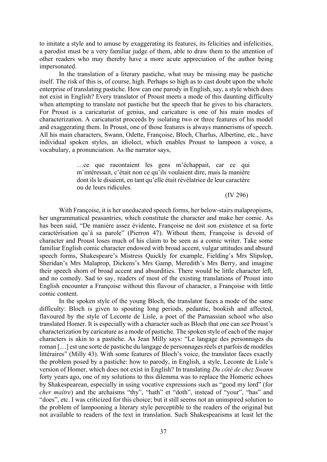to imitate a style and to amuse by exaggerating its features, its felicities and infelicities, a parodist must be a very familiar judge of them, able to draw them to the attention of other readers who may thereby have a more acute appreciation of the author being impersonated.

In the translation of a literary pastiche, what may be missing may be pastiche itself. The risk of this is, of course, high. Perhaps so high as to cast doubt upon the whole enterprise of translating pastiche. How can one parody in English, say, a style which does not exist in English? Every translator of Proust meets a mode of this daunting difficulty when attempting to translate not pastiche but the speech that he gives to his characters. For Proust is a caricaturist of genius, and caricature is one of his main modes of characterization. A caricaturist proceeds by isolating two or three features of his model and exaggerating them. In Proust, one of those features is always mannerisms of speech. All his main characters, Swann, Odette, Françoise, Bloch, Charlus, Albertine, etc., have individual spoken styles, an idiolect, which enables Proust to lampoon a voice, a vocabulary, a pronunciation. As the narrator says,

> …ce que racontaient les gens m'échappait, car ce qui m'intéressait, c'était non ce qu'ils voulaient dire, mais la manière dont ils le disaient, en tant qu'elle était révélatrice de leur caractère ou de leurs ridicules.

> > (IV 296)

With Françoise, it is her uneducated speech forms, her below-stairs malapropisms, her ungrammatical peasantries, which constitute the character and make her comic. As has been said, "De manière assez évidente, Françoise ne doit son existence et sa forte caractérisation qu'à sa parole" (Pierron 47). Without them, Françoise is devoid of character and Proust loses much of his claim to be seen as a comic writer. Take some familiar English comic character endowed with broad accent, vulgar attitudes and absurd speech forms, Shakespeare's Mistress Quickly for example, Fielding's Mrs Slipslop, Sheridan's Mrs Malaprop, Dickens's Mrs Gamp, Meredith's Mrs Berry, and imagine their speech shorn of broad accent and absurdities. There would be little character left, and no comedy. Sad to say, readers of most of the existing translations of Proust into English encounter a Françoise without this flavour of character, a Françoise with little comic content.

In the spoken style of the young Bloch, the translator faces a mode of the same difficulty: Bloch is given to spouting long periods, pedantic, bookish and affected, flavoured by the style of Leconte de Lisle, a poet of the Parnassian school who also translated Homer. It is especially with a character such as Bloch that one can see Proust's characterization by caricature as a mode of pastiche. The spoken style of each of the major characters is akin to a pastiche. As Jean Milly says: "Le langage des personnages du roman […] est une sorte de pastiche du langage de personnages réels et parfois de modèles littéraires" (Milly 43). With some features of Bloch's voice, the translator faces exactly the problem posed by a pastiche: how to parody, in English, a style, Leconte de Lisle's version of Homer, which does not exist in English? In translating *Du côté de chez Swann*  forty years ago, one of my solutions to this dilemma was to replace the Homeric echoes by Shakespearean, especially in using vocative expressions such as "good my lord" (for *cher maître*) and the archaisms "thy", "hath" et "doth", instead of "your", "has" and "does", etc. I was criticized for this choice; but it still seems not an uninspired solution to the problem of lampooning a literary style perceptible to the readers of the original but not available to readers of the text in translation. Such Shakespearisms at least let the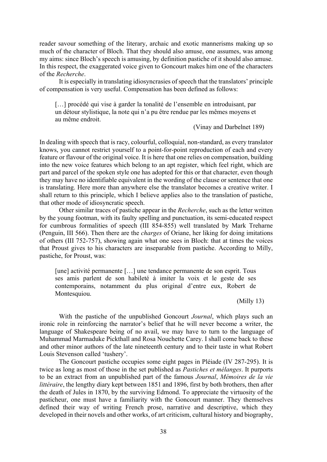reader savour something of the literary, archaic and exotic mannerisms making up so much of the character of Bloch. That they should also amuse, one assumes, was among my aims: since Bloch's speech is amusing, by definition pastiche of it should also amuse. In this respect, the exaggerated voice given to Goncourt makes him one of the characters of the *Recherche*.

It is especially in translating idiosyncrasies of speech that the translators' principle of compensation is very useful. Compensation has been defined as follows:

[...] procédé qui vise à garder la tonalité de l'ensemble en introduisant, par un détour stylistique, la note qui n'a pu être rendue par les mêmes moyens et au même endroit.

(Vinay and Darbelnet 189)

In dealing with speech that is racy, colourful, colloquial, non-standard, as every translator knows, you cannot restrict yourself to a point-for-point reproduction of each and every feature or flavour of the original voice. It is here that one relies on compensation, building into the new voice features which belong to an apt register, which feel right, which are part and parcel of the spoken style one has adopted for this or that character, even though they may have no identifiable equivalent in the wording of the clause or sentence that one is translating. Here more than anywhere else the translator becomes a creative writer. I shall return to this principle, which I believe applies also to the translation of pastiche, that other mode of idiosyncratic speech.

Other similar traces of pastiche appear in the *Recherche*, such as the letter written by the young footman, with its faulty spelling and punctuation, its semi-educated respect for cumbrous formalities of speech (III 854-855) well translated by Mark Treharne (Penguin, III 566). Then there are the *charges* of Oriane, her liking for doing imitations of others (III 752-757), showing again what one sees in Bloch: that at times the voices that Proust gives to his characters are inseparable from pastiche. According to Milly, pastiche, for Proust, was:

[une] activité permanente […] une tendance permanente de son esprit. Tous ses amis parlent de son habileté à imiter la voix et le geste de ses contemporains, notamment du plus original d'entre eux, Robert de Montesquiou.

(Milly 13)

With the pastiche of the unpublished Goncourt *Journal*, which plays such an ironic role in reinforcing the narrator's belief that he will never become a writer, the language of Shakespeare being of no avail, we may have to turn to the language of Muhammad Marmaduke Pickthall and Rosa Nouchette Carey. I shall come back to these and other minor authors of the late nineteenth century and to their taste in what Robert Louis Stevenson called 'tushery'.

The Goncourt pastiche occupies some eight pages in Pléiade (IV 287-295). It is twice as long as most of those in the set published as *Pastiches et mélanges*. It purports to be an extract from an unpublished part of the famous *Journal*, *Mémoires de la vie littéraire*, the lengthy diary kept between 1851 and 1896, first by both brothers, then after the death of Jules in 1870, by the surviving Edmond. To appreciate the virtuosity of the pasticheur, one must have a familiarity with the Goncourt manner. They themselves defined their way of writing French prose, narrative and descriptive, which they developed in their novels and other works, of art criticism, cultural history and biography,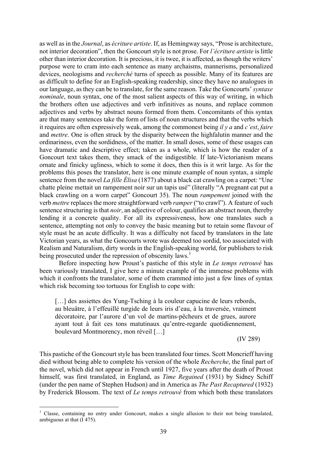as well as in the *Journal*, as *écriture artiste*. If, as Hemingway says, "Prose is architecture, not interior decoration", then the Goncourt style is not prose. For *l'écriture artiste* is little other than interior decoration. It is precious, it is twee, it is affected, as though the writers' purpose were to cram into each sentence as many archaisms, mannerisms, personalized devices, neologisms and *recherché* turns of speech as possible. Many of its features are as difficult to define for an English-speaking readership, since they have no analogues in our language, as they can be to translate, for the same reason. Take the Goncourts' *syntaxe nominale*, noun syntax, one of the most salient aspects of this way of writing, in which the brothers often use adjectives and verb infinitives as nouns, and replace common adjectives and verbs by abstract nouns formed from them. Concomitants of this syntax are that many sentences take the form of lists of noun structures and that the verbs which it requires are often expressively weak, among the commonest being *il y a* and *c'est*, *faire* and *mettre*. One is often struck by the disparity between the highfalutin manner and the ordinariness, even the sordidness, of the matter. In small doses, some of these usages can have dramatic and descriptive effect; taken as a whole, which is how the reader of a Goncourt text takes them, they smack of the indigestible. If late-Victorianism means ornate and finicky ugliness, which to some it does, then this is it writ large. As for the problems this poses the translator, here is one minute example of noun syntax, a simple sentence from the novel *La fille Élisa* (1877) about a black cat crawling on a carpet: "Une chatte pleine mettait un rampement noir sur un tapis usé" (literally "A pregnant cat put a black crawling on a worn carpet" Goncourt 35). The noun *rampement* joined with the verb *mettre* replaces the more straightforward verb *ramper* ("to crawl"). A feature of such sentence structuring is that *noir*, an adjective of colour, qualifies an abstract noun, thereby lending it a concrete quality. For all its expressiveness, how one translates such a sentence, attempting not only to convey the basic meaning but to retain some flavour of style must be an acute difficulty. It was a difficulty not faced by translators in the late Victorian years, as what the Goncourts wrote was deemed too sordid, too associated with Realism and Naturalism, dirty words in the English-speaking world, for publishers to risk being prosecuted under the repression of obscenity laws.<sup>1</sup>

Before inspecting how Proust's pastiche of this style in *Le temps retrouvé* has been variously translated, I give here a minute example of the immense problems with which it confronts the translator, some of them crammed into just a few lines of syntax which risk becoming too tortuous for English to cope with:

[...] des assiettes des Yung-Tsching à la couleur capucine de leurs rebords, au bleuâtre, à l'effeuillé turgide de leurs iris d'eau, à la traversée, vraiment décoratoire, par l'aurore d'un vol de martins-pêcheurs et de grues, aurore ayant tout à fait ces tons matutinaux qu'entre-regarde quotidiennement, boulevard Montmorency, mon réveil […]

(IV 289)

This pastiche of the Goncourt style has been translated four times. Scott Moncrieff having died without being able to complete his version of the whole *Recherche*, the final part of the novel, which did not appear in French until 1927, five years after the death of Proust himself, was first translated, in England, as *Time Regained* (1931) by Sidney Schiff (under the pen name of Stephen Hudson) and in America as *The Past Recaptured* (1932) by Frederick Blossom. The text of *Le temps retrouvé* from which both these translators

<sup>&</sup>lt;sup>1</sup> Classe, containing no entry under Goncourt, makes a single allusion to their not being translated, ambiguous at that (I 475).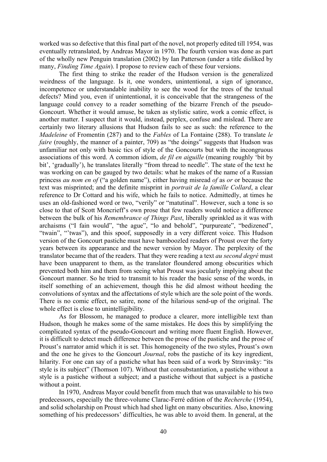worked was so defective that this final part of the novel, not properly edited till 1954, was eventually retranslated, by Andreas Mayor in 1970. The fourth version was done as part of the wholly new Penguin translation (2002) by Ian Patterson (under a title disliked by many, *Finding Time Again*). I propose to review each of these four versions.

The first thing to strike the reader of the Hudson version is the generalized weirdness of the language. Is it, one wonders, unintentional, a sign of ignorance, incompetence or understandable inability to see the wood for the trees of the textual defects? Mind you, even if unintentional, it is conceivable that the strangeness of the language could convey to a reader something of the bizarre French of the pseudo-Goncourt. Whether it would amuse, be taken as stylistic satire, work a comic effect, is another matter. I suspect that it would, instead, perplex, confuse and mislead. There are certainly two literary allusions that Hudson fails to see as such: the reference to the *Madeleine* of Fromentin (287) and to the *Fables* of La Fontaine (288). To translate *le faire* (roughly, the manner of a painter, 709) as "the doings" suggests that Hudson was unfamiliar not only with basic tics of style of the Goncourts but with the incongruous associations of this word. A common idiom, *de fil en aiguille* (meaning roughly 'bit by bit', 'gradually'), he translates literally "from thread to needle". The state of the text he was working on can be gauged by two details: what he makes of the name of a Russian princess *au nom en of* ("a golden name"), either having misread *of* as *or* or because the text was misprinted; and the definite misprint in *portrait de la famille Collard*, a clear reference to Dr Cottard and his wife, which he fails to notice. Admittedly, at times he uses an old-fashioned word or two, "verily" or "matutinal". However, such a tone is so close to that of Scott Moncrieff's own prose that few readers would notice a difference between the bulk of his *Remembrance of Things Past*, liberally sprinkled as it was with archaisms ("I fain would", "the ague", "lo and behold", "purpureate", "bedizened", "twain", "'twas"), and this spoof, supposedly in a very different voice. This Hudson version of the Goncourt pastiche must have bamboozled readers of Proust over the forty years between its appearance and the newer version by Mayor. The perplexity of the translator became that of the readers. That they were reading a text *au second degré* must have been unapparent to them, as the translator floundered among obscurities which prevented both him and them from seeing what Proust was jocularly implying about the Goncourt manner. So he tried to transmit to his reader the basic sense of the words, in itself something of an achievement, though this he did almost without heeding the convolutions of syntax and the affectations of style which are the sole point of the words. There is no comic effect, no satire, none of the hilarious send-up of the original. The whole effect is close to unintelligibility.

As for Blossom, he managed to produce a clearer, more intelligible text than Hudson, though he makes some of the same mistakes. He does this by simplifying the complicated syntax of the pseudo-Goncourt and writing more fluent English. However, it is difficult to detect much difference between the prose of the pastiche and the prose of Proust's narrator amid which it is set. This homogeneity of the two styles, Proust's own and the one he gives to the Goncourt *Journal*, robs the pastiche of its key ingredient, hilarity. For one can say of a pastiche what has been said of a work by Stravinsky: "its style is its subject" (Thomson 107). Without that consubstantiation, a pastiche without a style is a pastiche without a subject; and a pastiche without that subject is a pastiche without a point.

In 1970, Andreas Mayor could benefit from much that was unavailable to his two predecessors, especially the three-volume Clarac-Ferré edition of the *Recherche* (1954), and solid scholarship on Proust which had shed light on many obscurities. Also, knowing something of his predecessors' difficulties, he was able to avoid them. In general, at the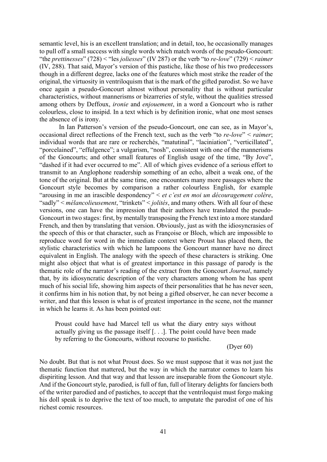semantic level, his is an excellent translation; and in detail, too, he occasionally manages to pull off a small success with single words which match words of the pseudo-Goncourt: "the *prettinesses*" (728) < "les *joliesses*" (IV 287) or the verb "to *re-love*" (729) < *raimer* (IV, 288). That said, Mayor's version of this pastiche, like those of his two predecessors though in a different degree, lacks one of the features which most strike the reader of the original, the virtuosity in ventriloquism that is the mark of the gifted parodist. So we have once again a pseudo-Goncourt almost without personality that is without particular characteristics, without mannerisms or bizarreries of style, without the qualities stressed among others by Deffoux, *ironie* and *enjouement*, in a word a Goncourt who is rather colourless, close to insipid. In a text which is by definition ironic, what one most senses the absence of is irony.

In Ian Patterson's version of the pseudo-Goncourt, one can see, as in Mayor's, occasional direct reflections of the French text, such as the verb "to *re-love*" < *raimer*; individual words that are rare or recherchés, "matutinal", "laciniation", "verticillated", "porcelained", "effulgence"; a vulgarism, "nosh", consistent with one of the mannerisms of the Goncourts; and other small features of English usage of the time, "By Jove", "dashed if it had ever occurred to me". All of which gives evidence of a serious effort to transmit to an Anglophone readership something of an echo, albeit a weak one, of the tone of the original. But at the same time, one encounters many more passages where the Goncourt style becomes by comparison a rather colourless English, for example "arousing in me an irascible despondency" < *et c'est en moi un découragement colère*, "sadly" < *mélancolieusement*, "trinkets" < *jolités*, and many others. With all four of these versions, one can have the impression that their authors have translated the pseudo-Goncourt in two stages: first, by mentally transposing the French text into a more standard French, and then by translating that version. Obviously, just as with the idiosyncrasies of the speech of this or that character, such as Françoise or Bloch, which are impossible to reproduce word for word in the immediate context where Proust has placed them, the stylistic characteristics with which he lampoons the Goncourt manner have no direct equivalent in English. The analogy with the speech of these characters is striking. One might also object that what is of greatest importance in this passage of parody is the thematic role of the narrator's reading of the extract from the Goncourt *Journal*, namely that, by its idiosyncratic description of the very characters among whom he has spent much of his social life, showing him aspects of their personalities that he has never seen, it confirms him in his notion that, by not being a gifted observer, he can never become a writer, and that this lesson is what is of greatest importance in the scene, not the manner in which he learns it. As has been pointed out:

Proust could have had Marcel tell us what the diary entry says without actually giving us the passage itself [. . .]. The point could have been made by referring to the Goncourts, without recourse to pastiche.

(Dyer 60)

No doubt. But that is not what Proust does. So we must suppose that it was not just the thematic function that mattered, but the way in which the narrator comes to learn his dispiriting lesson. And that way and that lesson are inseparable from the Goncourt style. And if the Goncourt style, parodied, is full of fun, full of literary delights for fanciers both of the writer parodied and of pastiches, to accept that the ventriloquist must forgo making his doll speak is to deprive the text of too much, to amputate the parodist of one of his richest comic resources.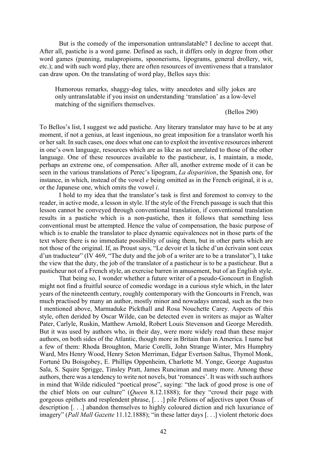But is the comedy of the impersonation untranslatable? I decline to accept that. After all, pastiche is a word game. Defined as such, it differs only in degree from other word games (punning, malapropisms, spoonerisms, lipograms, general drollery, wit, etc.); and with such word play, there are often resources of inventiveness that a translator can draw upon. On the translating of word play, Bellos says this:

Humorous remarks, shaggy-dog tales, witty anecdotes and silly jokes are only untranslatable if you insist on understanding 'translation' as a low-level matching of the signifiers themselves.

(Bellos 290)

To Bellos's list, I suggest we add pastiche. Any literary translator may have to be at any moment, if not a genius, at least ingenious, no great imposition for a translator worth his or her salt. In such cases, one does what one can to exploit the inventive resources inherent in one's own language, resources which are as like as not unrelated to those of the other language. One of these resources available to the pasticheur, is, I maintain, a mode, perhaps an extreme one, of compensation. After all, another extreme mode of it can be seen in the various translations of Perec's lipogram, *La disparition*, the Spanish one, for instance, in which, instead of the vowel *e* being omitted as in the French original, it is *a*, or the Japanese one, which omits the vowel *i*.

I hold to my idea that the translator's task is first and foremost to convey to the reader, in active mode, a lesson in style. If the style of the French passage is such that this lesson cannot be conveyed through conventional translation, if conventional translation results in a pastiche which is a non-pastiche, then it follows that something less conventional must be attempted. Hence the value of compensation, the basic purpose of which is to enable the translator to place dynamic equivalences not in those parts of the text where there is no immediate possibility of using them, but in other parts which are not those of the original. If, as Proust says, "Le devoir et la tâche d'un écrivain sont ceux d'un traducteur" (IV 469, "The duty and the job of a writer are to be a translator"), I take the view that the duty, the job of the translator of a pasticheur is to be a pasticheur. But a pasticheur not of a French style, an exercise barren in amusement, but of an English style.

That being so, I wonder whether a future writer of a pseudo-Goncourt in English might not find a fruitful source of comedic wordage in a curious style which, in the later years of the nineteenth century, roughly contemporary with the Goncourts in French, was much practised by many an author, mostly minor and nowadays unread, such as the two I mentioned above, Marmaduke Pickthall and Rosa Nouchette Carey. Aspects of this style, often derided by Oscar Wilde, can be detected even in writers as major as Walter Pater, Carlyle, Ruskin, Matthew Arnold, Robert Louis Stevenson and George Meredith. But it was used by authors who, in their day, were more widely read than these major authors, on both sides of the Atlantic, though more in Britain than in America. I name but a few of them: Rhoda Broughton, Marie Corelli, John Strange Winter, Mrs Humphry Ward, Mrs Henry Wood, Henry Seton Merriman, Edgar Evertson Saltus, Thymol Monk, Fortuné Du Boisgobey, E. Phillips Oppenheim, Charlotte M. Yonge, George Augustus Sala, S. Squire Sprigge, Tinsley Pratt, James Runciman and many more. Among these authors, there was a tendency to write not novels, but 'romances'. It was with such authors in mind that Wilde ridiculed "poetical prose", saying: "the lack of good prose is one of the chief blots on our culture" (*Queen* 8.12.1888); for they "crowd their page with gorgeous epithets and resplendent phrase, [. . .] pile Pelions of adjectives upon Ossas of description [. . .] abandon themselves to highly coloured diction and rich luxuriance of imagery" (*Pall Mall Gazette* 11.12.1888); "in these latter days [. . .] violent rhetoric does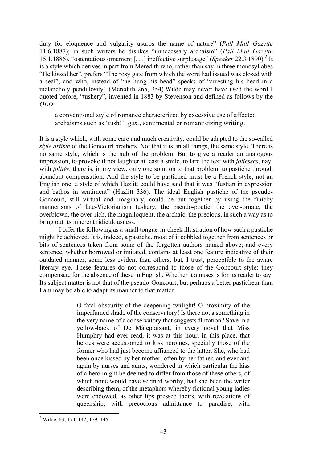duty for eloquence and vulgarity usurps the name of nature" (*Pall Mall Gazette* 11.6.1887); in such writers he dislikes "unnecessary archaism" (*Pall Mall Gazette* 15.1.1886), "ostentatious ornament [...] ineffective surplusage" (*Speaker* 22.3.1890).<sup>2</sup> It is a style which derives in part from Meredith who, rather than say in three monosyllabes "He kissed her", prefers "The rosy gate from which the word had issued was closed with a seal", and who, instead of "he hung his head" speaks of "arresting his head in a melancholy pendulosity" (Meredith 265, 354).Wilde may never have used the word I quoted before, "tushery", invented in 1883 by Stevenson and defined as follows by the *OED*:

a conventional style of romance characterized by excessive use of affected archaisms such as 'tush!'; *gen.*, sentimental or romanticizing writing.

It is a style which, with some care and much creativity, could be adapted to the so-called *style artiste* of the Goncourt brothers. Not that it is, in all things, the same style. There is no same style, which is the nub of the problem. But to give a reader an analogous impression, to provoke if not laughter at least a smile, to lard the text with *joliesses*, nay, with *jolités*, there is, in my view, only one solution to that problem: to pastiche through abundant compensation. And the style to be pastiched must be a French style, not an English one, a style of which Hazlitt could have said that it was "fustian in expression and bathos in sentiment" (Hazlitt 336). The ideal English pastiche of the pseudo-Goncourt, still virtual and imaginary, could be put together by using the finicky mannerisms of late-Victorianism tushery, the pseudo-poetic, the over-ornate, the overblown, the over-rich, the magniloquent, the archaic, the precious, in such a way as to bring out its inherent ridiculousness.

I offer the following as a small tongue-in-cheek illustration of how such a pastiche might be achieved. It is, indeed, a pastiche, most of it cobbled together from sentences or bits of sentences taken from some of the forgotten authors named above; and every sentence, whether borrowed or imitated, contains at least one feature indicative of their outdated manner, some less evident than others, but, I trust, perceptible to the aware literary eye. These features do not correspond to those of the Goncourt style; they compensate for the absence of these in English. Whether it amuses is for its reader to say. Its subject matter is not that of the pseudo-Goncourt; but perhaps a better pasticheur than I am may be able to adapt its manner to that matter.

> O fatal obscurity of the deepening twilight! O proximity of the imperfumed shade of the conservatory! Is there not a something in the very name of a conservatory that suggests flirtation? Save in a yellow-back of De Mâleplaisant, in every novel that Miss Humphry had ever read, it was at this hour, in this place, that heroes were accustomed to kiss heroines, specially those of the former who had just become affianced to the latter. She, who had been once kissed by her mother, often by her father, and ever and again by nurses and aunts, wondered in which particular the kiss of a hero might be deemed to differ from those of these others, of which none would have seemed worthy, had she been the writer describing them, of the metaphors whereby fictional young ladies were endowed, as other lips pressed theirs, with revelations of queenship, with precocious admittance to paradise, with

 <sup>2</sup> Wilde, 63, 174, 142, 179, 146.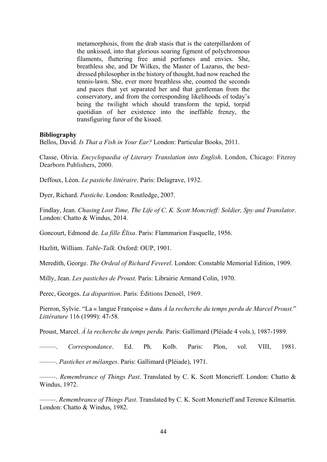metamorphosis, from the drab stasis that is the caterpillardom of the unkissed, into that glorious soaring figment of polychromous filaments, fluttering free amid perfumes and envies. She, breathless she, and Dr Wilkes, the Master of Lazarus, the bestdressed philosopher in the history of thought, had now reached the tennis-lawn. She, ever more breathless she, counted the seconds and paces that yet separated her and that gentleman from the conservatory, and from the corresponding likelihoods of today's being the twilight which should transform the tepid, torpid quotidian of her existence into the ineffable frenzy, the transfiguring furor of the kissed.

## **Bibliography**

Bellos, David. *Is That a Fish in Your Ear?* London: Particular Books, 2011.

Classe, Olivia. *Encyclopaedia of Literary Translation into English*. London, Chicago: Fitzroy Dearborn Publishers, 2000.

Deffoux, Léon. *Le pastiche littéraire*. Paris: Delagrave, 1932.

Dyer, Richard. *Pastiche*. London: Routledge, 2007.

Findlay, Jean. *Chasing Lost Time, The Life of C. K. Scott Moncrieff: Soldier, Spy and Translator*. London: Chatto & Windus, 2014.

Goncourt, Edmond de. *La fille Élisa*. Paris: Flammarion Fasquelle, 1956.

Hazlitt, William. *Table-Talk*. Oxford: OUP, 1901.

Meredith, George. *The Ordeal of Richard Feverel*. London: Constable Memorial Edition, 1909.

Milly, Jean. *Les pastiches de Proust*. Paris: Librairie Armand Colin, 1970.

Perec, Georges. *La disparition*. Paris: Éditions Denoël, 1969.

Pierron, Sylvie. "La « langue Françoise » dans *À la recherche du temps perdu de Marcel Proust.*" *Littérature* 116 (1999): 47-58.

Proust, Marcel. *À la recherche du temps perdu*. Paris: Gallimard (Pléiade 4 vols.), 1987-1989.

–––––. *Correspondance*. Ed. Ph. Kolb. Paris: Plon, vol. VIII, 1981.

–––––. *Pastiches et mélanges*. Paris: Gallimard (Pléiade), 1971.

–––––. *Remembrance of Things Past*. Translated by C. K. Scott Moncrieff. London: Chatto & Windus, 1972.

–––––. *Remembrance of Things Past*. Translated by C. K. Scott Moncrieff and Terence Kilmartin. London: Chatto & Windus, 1982.